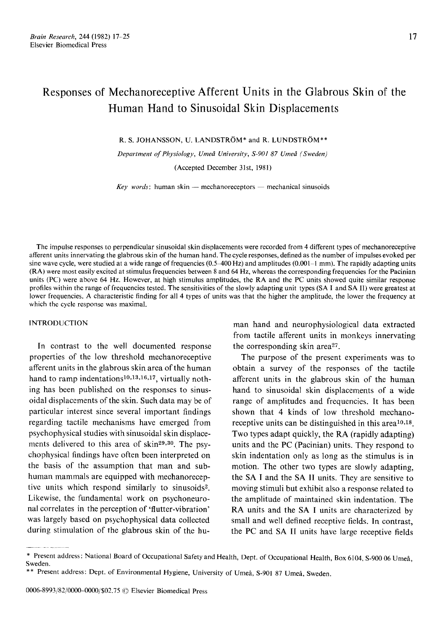# **Responses of Mechanoreceptive Afferent Units in the Glabrous Skin of the Human Hand to Sinusoidal Skin Displacements**

R. S. JOHANSSON, U. LANDSTRÖM\* and R. LUNDSTRÖM\*\*

*Department of Physiology, Umed University, S-901 87 Umed (Sweden)* 

(Accepted December 31st, 1981)

 $Key$  *words*: human skin -- mechanoreceptors -- mechanical sinusoids

The impulse responses to perpendicular sinusoidal skin displacements were recorded from 4 different types of mechanoreceptive afferent units innervating the glabrous skin of the human hand. The cycle responses, defined as the number of impulses evoked per sine wave cycle, were studied at a wide range of frequencies  $(0.5-400 \text{ Hz})$  and amplitudes  $(0.001-1 \text{ mm})$ . The rapidly adapting units (RA) were most easily excited at stimulus frequencies between 8 and 64 Hz, whereas the corresponding frequencies for the Pacinian units (PC) were above 64 Hz. However, at high stimulus amplitudes, the RA and the PC units showed quite similar response profiles within the range of frequencies tested. The sensitivities of the slowly adapting unit types (SA I and SAII) were greatest at lower frequencies. A characteristic finding for all 4 types of units was that the higher the amplitude, the lower the frequency at which the cycle response was maximal.

### INTRODUCTION

In contrast to the well documented response properties of the low threshold mechanoreceptive afferent units in the glabrous skin area of the human hand to ramp indentations<sup>10,13,16,17</sup>, virtually nothing has been published on the responses to sinusoidal displacements of the skin. Such data may be of particular interest since several important findings regarding tactile mechanisms have emerged from psychophysical studies with sinusoidal skin displacements delivered to this area of skin<sup>29,30</sup>. The psychophysical findings have often been interpreted on the basis of the assumption that man and subhuman mammals are equipped with mechanoreceptive units which respond similarly to sinusoids<sup>2</sup>. Likewise, the fundamental work on psychoneuronal correlates in the perception of 'flutter-vibration' was largely based on psychophysical data collected during stimulation of the glabrous skin of the bu-

man hand and neurophysiological data extracted from tactile afferent units in monkeys innervating the corresponding skin area $27$ .

The purpose of the present experiments was to obtain a survey of the responses of the tactile afferent units in the glabrous skin of the human hand to sinusoidal skin displacements of a wide range of amplitudes and frequencies. It has been shown that 4 kinds of low threshold mechanoreceptive units can be distinguished in this area<sup>10,18</sup>. Two types adapt quickly, the RA (rapidly adapting) units and the PC (Pacinian) units. They respond to skin indentation only as long as the stimulus is in motion. The other two types are slowly adapting, the SA l and the SA II units. They are sensitive to moving stimuli but exhibit also a response related to the amplitude of maintained skin indentation. Tbe RA units and the SA I units are characterized by small and well defined receptive fields. In contrast, the PC and SA II units have large receptive fields

<sup>\*</sup> Present address: National Board of Occupational Safety and Health, Dept. of Occupational Health, Box 6104, S-900 06 Umeå, Sweden.

<sup>\*\*</sup> Present address: Dept. of Environmental Hygiene, University of Umeå, S-901 87 Umeå, Sweden.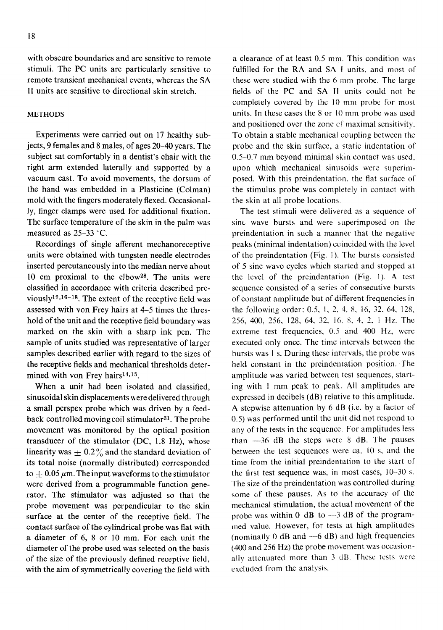with obscure boundaries and are sensitive to remote stimuli. The PC units are particularly sensitive to remote transient mechanical events, whereas the SA II units are sensitive to directional skin stretch.

## **METHODS**

Experiments were carried out on 17 healthy subjects, 9 females and 8 males, of ages 20-40 years. The subject sat comfortably in a dentist's chair with the right arm extended laterally and supported by a vacuum cast. To avoid movements, the dorsum of the hand was embedded in a Plasticine (Colman) mold with the fingers moderately flexed. Occasionally, finger clamps were used for additional fixation. The surface temperature cf the skin in the palm was measured as 25-33 °C.

Recordings of single afferent mechanoreceptive units were obtained with tungsten needle electrodes inserted percutaneously into the median nerve about 10 cm proximal to the elbow 28. The units were classified in accordance with criteria described previously<sup>12,16-18</sup>. The extent of the receptive field was assessed with yon Frey hairs at 4-5 times the threshold of the unit and the receptive field boundary was marked on the skin with a sharp ink pen. The sample of units studied was representative of larger samples described earlier with regard to the sizes of the receptive fields and mechanical thresholds determined with von Frey hairs $14,15$ .

When a unit had been isolated and classified, sinusoidal skin displacements were delivered through a small perspex probe which was driven by a feedback controlled moving coil stimulator<sup>31</sup>. The probe movement was monitored by the optical position transducer of the stimulator (DC, 1.8 Hz), whose linearity was  $\pm$  0.2% and the standard deviation of its total noise (normally distributed) corresponded to  $\pm$  0.05  $\mu$ m. The input waveforms to the stimulator were derived from a programmable function generator. The stimulator was adjusted so that the probe movement was perpendicular to the skin surface at the center of the receptive field. The contact surface of the cylindrical probe was fiat with a diameter of 6, 8 or 10 mm. For each unit the diameter of the probe used was selected on the basis of the size of the previously defined receptive field, with the aim of symmetrically covering the field with a clearance of at least 0.5 mm. This condition was fulfilled for the RA and SA I units, and most of these were studied with the 6 mm probe. The large fields of the PC and SA ll units could not be completely covered by the 10 mm probe for most units. In these cases the 8 or l0 mm probe was used and positioned over the zone of maximal sensitivity. To obtain a stable mechanical coupling between the probe and the skin surface, a static indentation of 0.5-0.7 mm beyond minimal skin contact was used, upon which mechanical sinusoids were superimposed. With this preindentation, the flat surface of the stimulus probe was completely in contact with the skin at all probe locations

The test stimuli were delivered as a sequence of sine wave bursts and were superimposed on the preindentation in such a manner that the negative peaks (minimal indentation) coincided with the level of the preindentation (Fig. 1). The bursts consisted of 5 sine wave cycles which started and stopped at the level of the preindentation (Fig. 1). A test sequence consisted of a series of consecutive bursts of constant amplitude but of different frequencies in the following order: 0.5, 1, 2, 4, 8, 16, 32, 64, 128, 256, 400, 256, 128, 64, 32, 16~ 8, 4, 2. I Hz. The extreme test frequencies, 0.5 and 400 Hz, were executed only once. The time intervals between the bursts was 1 s. During these intervals, the probe was held constant in the preindentation position. The amplitude was varied between test sequences, starting with I mm peak to peak. All amplitudes are expressed in decibels  $(d)$  relative to this amplitude. A stepwise attenuation by 6 dB (i.e. by a factor of 0.5) was performed until the unit did not respond to any of the tests in the sequence For amplitudes less than  $-36$  dB the steps were 8 dB. The pauses between the test sequences were ca. 10 s, and the time from the initial preindentation to the start of the first test sequence was, in most cases, 10-30 s. The size of the preindentation was controlled during some Gf these pauses. As to the accuracy of the mechanical stimulation, the actual movement of the probe was within  $0 \text{ dB}$  to  $-3 \text{ dB}$  of the programmed value. However, for tests at high amplitudes (nominally 0  $\text{dB}$  and  $-6$  dB) and high frequencies (400 and 256 Hz) the probe movement was occasionally attenuated more than 3 dB, These tests were excluded from the analysis.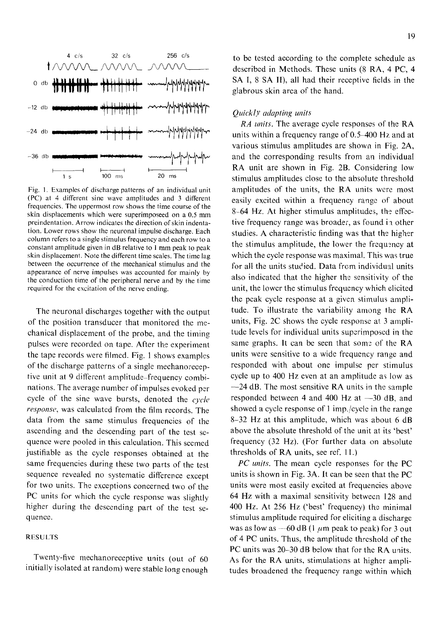

Fig. 1. Examples of discharge patterns of an individual unit (PC) at 4 different sine wave amplitudes and 3 different frequencies. The uppermost row shows the time course of the skin displacements which were superimposeed on a 0.5 mm preindentation. Arrow indicates the direction of skin indentation. Lower rows show the neuronal impulse discharge. Each column refers to a single stimulus frequency and each row to a constant amplitude given in dB relative to 1 mm peak to peak skin displacement. Note the different time scales. The time lag between the occurrence of the mechanical stimulus and the appearance of nerve impulses was accounted for mainly by the conduction time of the peripheral nerve and by the time required for the excitation of the nerve ending.

The neuronal discharges together with the output of the position transducer that monitored the mechanical displacement of the probe, and the timing pulses were recorded on tape. After the experiment the tape records were filmed. Fig. 1 shows examples of the discharge patterns of a single mechanoreceptive unit at 9 different amplitude-frequency combinations. The average number of impulses evoked per cycle of the sine wave bursts, denoted the cycle *response,* was calculated from the film records. The data from the same stimulus frequencies of the ascending and the descending part of the test sequence were pooled in this calculation. This seemed justifiable as the cycle responses obtained at the same frequencies during these two parts of the test sequence revealed no systematic difference except for two units. The exceptions concerned two of the PC units for which the cycle response was slightly higher during the descending part of the test sequence.

### RESULTS

Twenty-five mechanoreceptive units (out of 60 initially isolated at random) were stable long enough

to be tested according to the complete schedule as described in Methods. These units (8 RA, 4 PC, 4 SA I, 8 SA II), all had their receptive fields in the glabrous skin area of the hand.

## *Quickly adapting units*

*RA units.* The average cycle responses of the RA units within a frequency range of 0.5-400 Hz and at various stimulus amplitudes are shown in Fig. 2A, and the corresponding results from an individual RA unit are shown in Fig. 2B. Considering low stimulus amplitudes close to the absolute threshold amplitudes of the units, the RA units were most easily excited within a frequency range of about 8-64 Hz. At higher stimulus amplitudes, the effective frequency range was broader, as found in other studies. A characteristic finding was that the higher the stimulus amplitude, the lower the frequency at which the cycle response was maximal. This was true for all the units studied. Data from individual units also indicated that the higher the sensitivity of the unit, the lower the stimulus frequency which elicited the peak cycle response at a given stimulus amplitude. To illustrate the variability among the RA units, Fig. 2C shows the cycle response at 3 amplitude levels for individual units superimposed in the same graphs. It can be seen that some of the RA units were sensitive to a wide frequency range and responded with about one impulse per stimulus cycle up to 400 Hz even at an amplitude as low as  $-24$  dB. The most sensitive RA units in the sample responded between 4 and 400 Hz at  $-30$  dB, and showed a cycle response of I imp./cycle in the range 8-32 Hz at this amplitude, which was about 6 dB above the absolute threshold of the unit at its 'best' frequency (32 Hz). (For further data on absolute thresholds of RA units, see ref. 11.)

*PC units.* The mean cycle responses for the PC units is shown in Fig. 3A. It can be seen that the PC units were most easily excited at frequencies above 64 Hz with a maximal sensitivity between 128 and 400 Hz. At 256 Hz ('best' frequency) the minimal stimulus amplitude required for eliciting a discharge was as low as  $-60$  dB (1  $\mu$ m peak to peak) for 3 out of 4 PC units. Thus, the amplitude threshold of the PC units was 20-30 dB below that for the RA units. As for the RA units, stimulations at higher amplitudes broadened the frequency range within which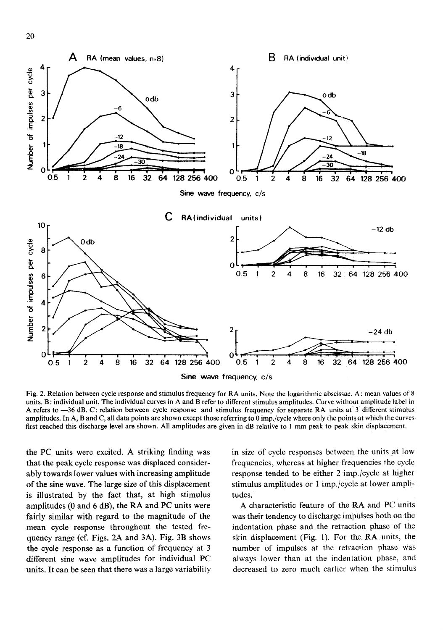

Fig. 2. Relation between cycle response and stimulus frequency for RA units. Note the logarithmic abscissae. A : mean values of 8 units. B: individual unit. The individual curves in A and B refer to different stimulus amplitudes. Curve without amplitude label in A refers to  $-36$  dB. C: relation between cycle response and stimulus frequency for separate RA units at  $3$  different stimulus amplitudes. In A, B and C, all data points are shown except those referring to 0 imp./cycle where only the points at which the curves first reached this discharge level are shown. All amplitudes are given in dB relative to 1 mm peak to peak skin displacement.

the PC units were excited. A striking finding was that the peak cycle response was displaced considerably towards lower values with increasing amplitude of the sine wave. The large size of this displacement is illustrated by the fact that, at high stimulus amplitudes (0 and 6 dB), the RA and PC units were fairly similar with regard to the magnitude of the mean cycle response throughout the tested frequency range (cf. Figs. 2A and 3A). Fig. 3B shows the cycle response as a function of frequency at 3 different sine wave amplitudes for individual PC units. It can be seen that there was a large variability in size of cycle responses between the units at low frequencies, whereas at higher frequencies the cycle response tended to be either 2 imp./cycle at higher stimulus amplitudes or 1 imp./cycle at lower amplitudes.

A characteristic feature of the RA and PC units was their tendency to discharge impulses both on the indentation phase and the retraction phase of the skin displacement (Fig. 1). For the RA units, the number of impulses at the retraction phase was always lower than at the indentation phase, and decreased to zero much earlier when the stimulus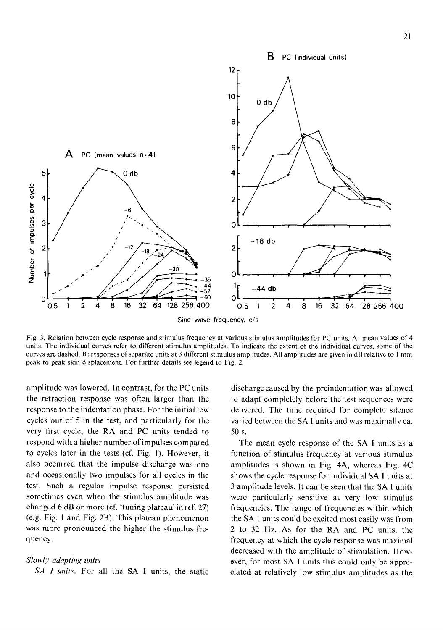

Fig. 3. Relation between cycle response and stimulus frequency at various stimulus amplitudes for PC units. A : mean values of 4 units. The individual curves refer to different stimulus amplitudes. To indicate the extent of the individual curves, some of the curves are dashed. B : responses of separate units at 3 different stimulus amplitudes. All amplitudes are given in dB relative to 1 mm peak to peak skin displacement. For further details see legend to Fig. 2.

amplitude was lowered. In contrast, for the PC units the retraction response was often larger than the response to the indentation phase. For the initial few cycles out of 5 in the test, and particularly for the very first cycle, the RA and PC units tended to respond with a higher number of impulses compared to cycles later in the tests (cf. Fig. 1). However, it also occurred that the impulse discharge was one and occasionally two impulses for all cycles in the test. Such a regular impulse response persisted sometimes even when the stimulus amplitude was changed 6 dB or more (cf. 'tuning plateau' in ref. 27) (e.g. Fig. 1 and Fig. 2B). This plateau phenomenon was more pronounced the higher the stimulus frequency.

## *Slowly adapting units*

*SA 1 units.* For all the SA I units, the static

discharge caused by tbe preindentation was allowed to adapt completely before the test sequences were delivered. The time required for complete silence varied between the SA I units and was maximally ca. 50 s.

The mean cycle response of the SA I units as a function of stimulus frequency at various stimulus amplitudes is shown in Fig. 4A, whereas Fig. 4C shows the cycle response for individual SA I units at 3 amplitude levels. It can be seen that the SA I units were particularly sensitive at very low stimulus frequencies. The range of frequencies within which the SA I units could be excited most easily was from 2 to 32 Hz. As for the RA and PC units, the frequency at which the cycle response was maximal decreased with the amplitude of stimulation. However, for most SA I units this could only be appreciated at relatively low stimulus amplitudes as the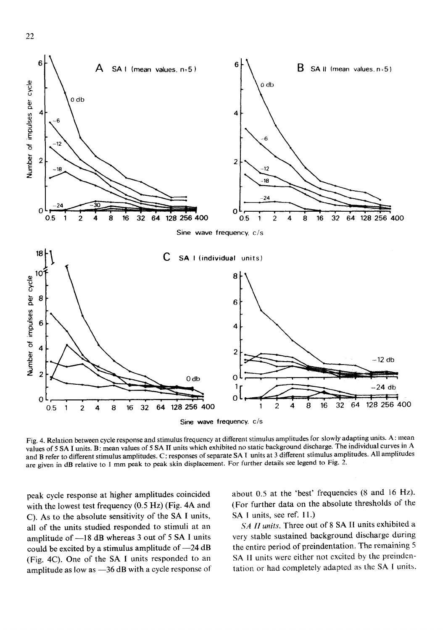

Fig. 4. Relation between cycle response and stimulus frequency at different stimulus amplitudes for slowly adapting units. A: mean values of 5 SA I units. B: mean values of 5 SA II units which exhibited no static background discharge. The individual curves in A and B refer to different stimulus amplitudes. C: responses of separate SA I units at 3 different stimulus amplitudes. All amplitudes are given in dB relative to 1 mm peak to peak skin displacement. For further details see legend to Fig. 2.

peak cycle response at higher amplitudes coincided with the lowest test frequency (0.5 Hz) (Fig. 4A and C). As to the absolute sensitivity of the SA I units, all of the units studied responded to stimuli at an amplitude of  $-18$  dB whereas 3 out of 5 SA I units could be excited by a stimulus amplitude of  $-24$  dB (Fig. 4C). One of the SA I units responded to an amplitude as low as  $-36$  dB with a cycle response of about 0.5 at the 'best' frequencies (8 and 16 Hz). (For further data on the absolute thresholds of the SA I units, see ref. 11.)

*SA I1 units.* Three out of 8 SA II units exhibited a very stable sustained background discharge during the entire period of preindentation, The remaining 5 SA II units were either not excited by the preindentation or had completely adapted as the SA I units.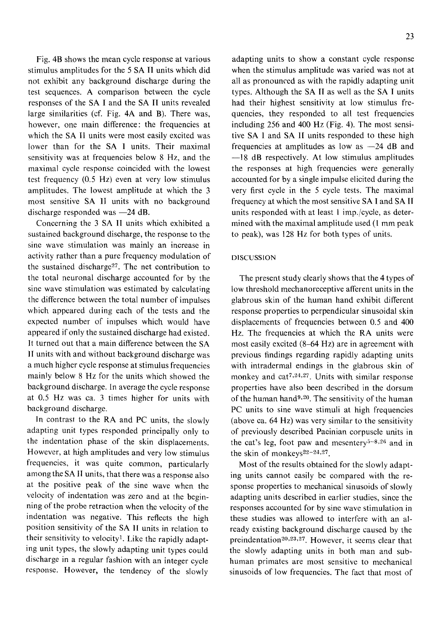Fig. 4B shows the mean cycle response at various stimulus amplitudes for the 5 SA II units which did not exhibit any background discharge during the test sequences. A comparison between the cycle responses of the SA I and the SA II units revealed large similarities (cf. Fig. 4A and B). There was, however, one main difference: the frequencies at which the SA II units were most easily excited was lower than for the SA 1 units. Their maximal sensitivity was at frequencies below 8 Hz, and the maximal cycle response coincided with the lowest test frequency  $(0.5 \text{ Hz})$  even at very low stimulus amplitudes. The lowest amplitude at which the 3 most sensitive SA 11 units with no background discharge responded was  $-24$  dB.

Concerning the 3 SA 1I units which exhibited a sustained background discharge, the response to the sine wave stimulation was mainly an increase in activity rather than a pure frequency modulation of the sustained discharge<sup>27</sup>. The net contribution to the total neuronal discharge accounted for by the sine wave stimulation was estimated by calculating the difference between the total number of impulses which appeared during each of the tests and the expected number of impulses which would have appeared if only the sustained discharge had existed. It turned out that a main difference between the SA 11 units with and without background discharge was a much higher cycle response at stimulus frequencies mainly below 8 Hz for the units which showed the background discharge. In average the cycle response at 0.5 Hz was ca. 3 times higber for units with background discharge.

In contrast to the RA and PC units, the slowly adapting unit types responded principally only to the indentation phase of the skin displacements. However, at high amplitudes and very low stimulus frequencies, it was quite common, particularly among the SA II units, that there was a response also at the positive peak of the sine wave when the velocity of indentation was zero and at the beginning of the probe retraction when the velocity of the indentation was negative. This reflects the high position sensitivity of the SA 11 units in relation to their sensitivity to velocity<sup>1</sup>. Like the rapidly adapting unit types, the slowly adapting unit types could discharge in a regular fashion with an integer cycle response. However, the tendency of the slowly

adapting units to show a constant cycle response when the stimulus amplitude was varied was not at all as pronounced as with the rapidly adapting unit types. Although the SAII as well as the SA I units had their highest sensitivity at low stimulus frequencies, they responded to all test frequencies including 256 and 400 Hz (Fig. 4). The most sensitive SA I and SA II units responded to these high frequencies at amplitudes as low as  $-24$  dB and  $-18$  dB respectively. At low stimulus amplitudes the responses at high frequencies were generally accounted for by a single impulse elicited during the very first cycle in the 5 cycle tests. The maximal frequency at which the most sensitive SA I and SA II units responded with at least 1 imp./cycle, as determined with the maximal amplitude used (1 mm peak to peak), was 128 Hz for both types of units.

## DISCUSSION

The present study clearly shows that the 4 types of low threshold mechanoreceptive afferent units in the glabrous skin of the human hand exhibit different response properties to perpendicular sinusoidal skin displacements of frequencies between 0.5 and 400 Hz. The frequencies at which the RA units were most easily excited (8-64 Hz) are in agreement with previous findings regarding rapidly adapting units with intradermal endings in the glabrous skin of monkey and cat<sup>7,24,27</sup>. Units with similar response properties have also been described in the dorsum of the human hand  $9,20$ . The sensitivity of the human PC units to sine wave stimuli at high frequencies (above ca. 64 Hz) was very similar to the sensitivity of previously described Pacinian corpuscle units in the cat's leg, foot paw and mesentery<sup>5-8,26</sup> and in the skin of monkeys<sup>22-24,27</sup>.

Most of the results obtained for the slowly adapting units cannot easily be compared with the response properties to mechanical sinusoids of slowly adapting units described in earlier studies, since the responses accounted for by sine wave stimulation in these studies was allowed to interfere with an already existing background discharge caused by the preindentation<sup>20,23,27</sup>. However, it seems clear that the slowly adapting units in both man and subhuman primates are most sensitive to mechanical sinusoids of low frequencies. The fact that most of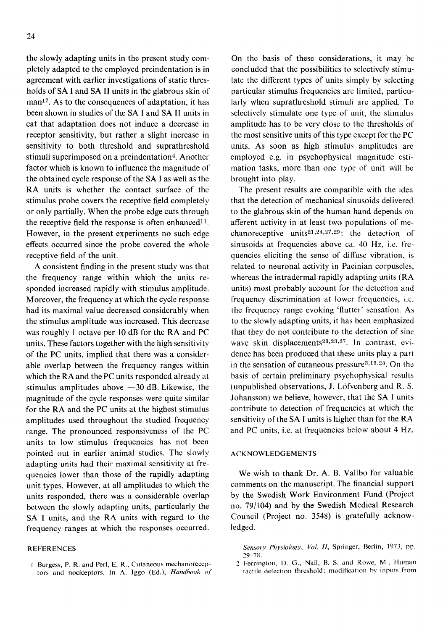the slowly adapting units in the present study completely adapted te the employed preindentation is in agreement with earlier investigations of static thresholds of SA I and SA II units in the glabrous skin of man<sup>17</sup>. As to the consequences of adaptation, it has been shown in studies of the SA I and SAII units in cat that adaptation does not induce a decrease in receptor sensitivity, but rather a slight increase in sensitivity to both threshold and suprathreshold stimuli superimposed on a preindentation<sup>4</sup>. Another factor which is known to influence the magnitude of the obtained cycle response of the SA 1 as well as the RA units is whether the contact surface of the stimulus probe covers the receptive field completely or only partially. When the probe edge cuts through the receptive field the response is often enhanced  $11$ . However, in the present experiments no such edge effects occurred since the probe covered the whole receptive field of the unit.

A consistent finding in the present study was that the frequency range within which the units responded increased rapidly with stimulus amplitude. Moreover, the frequency at which the cycle response had its maximal value decreased considerably when the stimulus amplitude was increased, This decrease was roughly 1 octave per l0 dB for the RA and PC units. These factors together with the high sensitivity of the PC units, implied that there was a considerable overlap between the frequency ranges within which the RA and the PC units responded already at stimulus amplitudes above  $-30$  dB. Likewise, the magnitude of the cycle responses were quite similar for the RA and the PC units at the highest stimulus amplitudes used throughout the studied frequency range. The pronounced responsiveness of the PC units to low stimulus frequencies has not been pointed out in earlier animal studies. The slowly adapting units had their maximal sensitivity at frequencies lower than those of the rapidly adapting unit types. However, at all amplitudes to which the units responded, there was a considerable overlap between the slowly adapting units, particularly the SA I units, and the RA units with regard to the frequency ranges at which the responses occurred.

#### REFERENCES

On the basis of these considerations, it may be concluded that the possibilities to selectively stimulate the different types of units simply by selecting particular stimulus frequencies are limited, particularly when suprathreshold stimuli are applied. To selectively stimulate one type of unit, the stimulus amplitude has to be very close to the thresholds of the most sensitive units of this type except for the PC units. As soon as high stimulus amplitudes are employed e.g. in psychophysical magnitude estimation tasks, more than one type of unit will be brought into play.

The present results are compatible with the idea that the detection of mechanical sinusoids delivered to the glabrous skin of the human hand depends on afferent activity in at least two populations of mechanoreceptive units<sup>21,24,27,29</sup>: the detection of sinusoids at frequencies above ca. 40 Hz, i.e. frequencies eliciting the sense of diffuse vibration, is related to neuronal activity in Pacinian corpuscles, whereas the intradermal rapidly adapting units (RA units) most probably account for the detection and frequency discrimination at lower frequencies, i.e. the frequency range evoking 'flutter' sensation. As to the slowly adapting units, it has been emphasized that they do not contribute to the detection of sine wave skin displacements<sup>20,23,27</sup>. In contrast, evidence has been produced that these units play a part in the sensation of cutaneous pressure<sup>3,19,25</sup>. On the basis of certain preliminary psychophysical results (unpublished observations, J. Löfvenberg and R. S.) Johansson) we believe, however, that the SA I units contribute to detection of frequencies at which the sensitivity of the SA I units is higher than for the RA and PC units, i.e. at frequencies below about 4 Hz.

#### ACKNOWLEDGEMENTS

We wish to thank Dr. A. B. Vallbo for valuable comments on the manuscript. The financial support by the Swedish Work Environment Fund (Project no. 79/104) and by the Swedish Medical Research Council (Project no. 3548) is gratefully acknowledged.

*Sensory Physiology, Vol. II,* Springer, Berlin, 1973, pp. 29 78.

2 Ferrington, D. G., Nail, B. S. and Rowe, M., Human tactile detection threshold: modification by inputs from

I Burgess, P. R. and Perl, E. R., Cutaneous mechanoreceptors and nociceptors. In A. lggo (Ed.), *Handbook of*